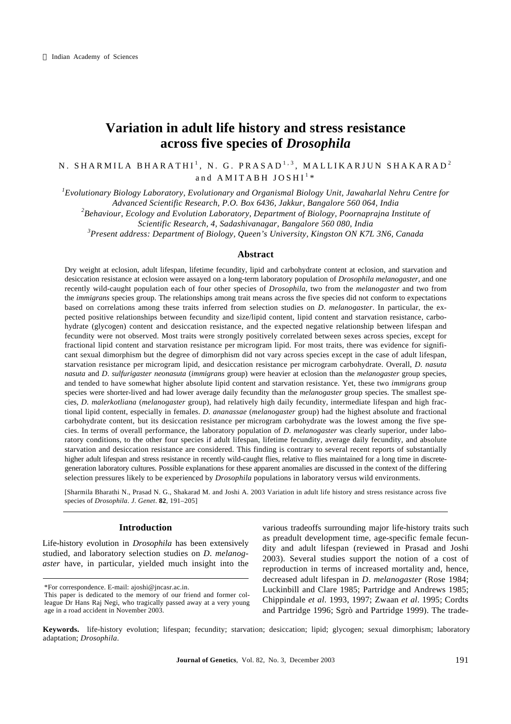# **Variation in adult life history and stress resistance across five species of** *Drosophila*

N. SHARMILA BHARATHI $^{\rm l}$ , N. G. PRASAD $^{\rm l,3}$ , MALLIKARJUN SHAKARAD $^{\rm 2}$ and  $AMITABH JOSHI^{1\,*}$ 

*<sup>1</sup>Evolutionary Biology Laboratory, Evolutionary and Organismal Biology Unit, Jawaharlal Nehru Centre for Advanced Scientific Research, P.O. Box 6436, Jakkur, Bangalore 560 064, India*

*<sup>2</sup>Behaviour, Ecology and Evolution Laboratory, Department of Biology, Poornaprajna Institute of Scientific Research, 4, Sadashivanagar, Bangalore 560 080, India*

*<sup>3</sup>Present address: Department of Biology, Queen's University, Kingston ON K7L 3N6, Canada*

# **Abstract**

Dry weight at eclosion, adult lifespan, lifetime fecundity, lipid and carbohydrate content at eclosion, and starvation and desiccation resistance at eclosion were assayed on a long-term laboratory population of *Drosophila melanogaster*, and one recently wild-caught population each of four other species of *Drosophila*, two from the *melanogaster* and two from the *immigrans* species group. The relationships among trait means across the five species did not conform to expectations based on correlations among these traits inferred from selection studies on *D*. *melanogaster*. In particular, the expected positive relationships between fecundity and size/lipid content, lipid content and starvation resistance, carbohydrate (glycogen) content and desiccation resistance, and the expected negative relationship between lifespan and fecundity were not observed. Most traits were strongly positively correlated between sexes across species, except for fractional lipid content and starvation resistance per microgram lipid. For most traits, there was evidence for significant sexual dimorphism but the degree of dimorphism did not vary across species except in the case of adult lifespan, starvation resistance per microgram lipid, and desiccation resistance per microgram carbohydrate. Overall, *D*. *nasuta nasuta* and *D*. *sulfurigaster neonasuta* (*immigrans* group) were heavier at eclosion than the *melanogaster* group species, and tended to have somewhat higher absolute lipid content and starvation resistance. Yet, these two *immigrans* group species were shorter-lived and had lower average daily fecundity than the *melanogaster* group species. The smallest species, *D*. *malerkotliana* (*melanogaster* group), had relatively high daily fecundity, intermediate lifespan and high fractional lipid content, especially in females. *D*. *ananassae* (*melanogaster* group) had the highest absolute and fractional carbohydrate content, but its desiccation resistance per microgram carbohydrate was the lowest among the five species. In terms of overall performance, the laboratory population of *D*. *melanogaster* was clearly superior, under laboratory conditions, to the other four species if adult lifespan, lifetime fecundity, average daily fecundity, and absolute starvation and desiccation resistance are considered. This finding is contrary to several recent reports of substantially higher adult lifespan and stress resistance in recently wild-caught flies, relative to flies maintained for a long time in discretegeneration laboratory cultures. Possible explanations for these apparent anomalies are discussed in the context of the differing selection pressures likely to be experienced by *Drosophila* populations in laboratory versus wild environments.

[Sharmila Bharathi N., Prasad N. G., Shakarad M. and Joshi A. 2003 Variation in adult life history and stress resistance across five species of *Drosophila*. *J*. *Genet*. **82**, 191–205]

# **Introduction**

Life-history evolution in *Drosophila* has been extensively studied, and laboratory selection studies on *D*. *melanogaster* have, in particular, yielded much insight into the various tradeoffs surrounding major life-history traits such as preadult development time, age-specific female fecundity and adult lifespan (reviewed in Prasad and Joshi 2003). Several studies support the notion of a cost of reproduction in terms of increased mortality and, hence, decreased adult lifespan in *D*. *melanogaster* (Rose 1984; Luckinbill and Clare 1985; Partridge and Andrews 1985; Chippindale *et al*. 1993, 1997; Zwaan *et al*. 1995; Cordts and Partridge 1996; Sgrò and Partridge 1999). The trade-

**Keywords.** life-history evolution; lifespan; fecundity; starvation; desiccation; lipid; glycogen; sexual dimorphism; laboratory adaptation; *Drosophila*.

<sup>\*</sup>For correspondence. E-mail: ajoshi@jncasr.ac.in.

This paper is dedicated to the memory of our friend and former colleague Dr Hans Raj Negi, who tragically passed away at a very young age in a road accident in November 2003.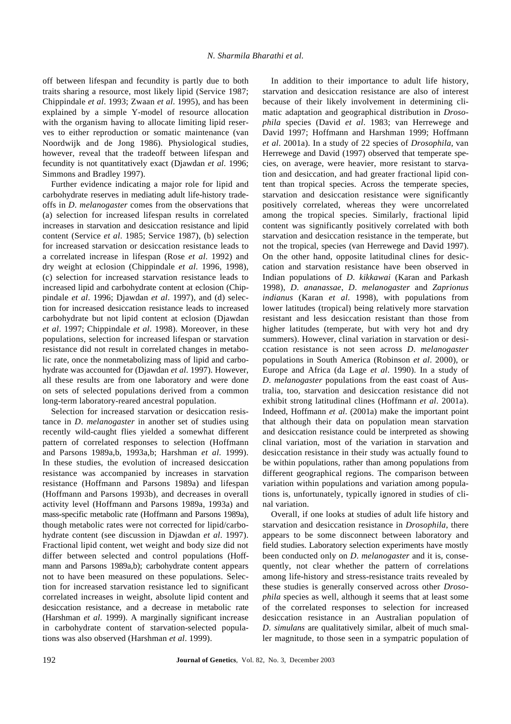off between lifespan and fecundity is partly due to both traits sharing a resource, most likely lipid (Service 1987; Chippindale *et al*. 1993; Zwaan *et al*. 1995), and has been explained by a simple Y-model of resource allocation with the organism having to allocate limiting lipid reserves to either reproduction or somatic maintenance (van Noordwijk and de Jong 1986). Physiological studies, however, reveal that the tradeoff between lifespan and fecundity is not quantitatively exact (Djawdan *et al*. 1996; Simmons and Bradley 1997).

Further evidence indicating a major role for lipid and carbohydrate reserves in mediating adult life-history tradeoffs in *D*. *melanogaster* comes from the observations that (a) selection for increased lifespan results in correlated increases in starvation and desiccation resistance and lipid content (Service *et al*. 1985; Service 1987), (b) selection for increased starvation or desiccation resistance leads to a correlated increase in lifespan (Rose *et al*. 1992) and dry weight at eclosion (Chippindale *et al*. 1996, 1998), (c) selection for increased starvation resistance leads to increased lipid and carbohydrate content at eclosion (Chippindale *et al*. 1996; Djawdan *et al*. 1997), and (d) selection for increased desiccation resistance leads to increased carbohydrate but not lipid content at eclosion (Djawdan *et al*. 1997; Chippindale *et al*. 1998). Moreover, in these populations, selection for increased lifespan or starvation resistance did not result in correlated changes in metabolic rate, once the nonmetabolizing mass of lipid and carbohydrate was accounted for (Djawdan *et al*. 1997). However, all these results are from one laboratory and were done on sets of selected populations derived from a common long-term laboratory-reared ancestral population.

Selection for increased starvation or desiccation resistance in *D*. *melanogaster* in another set of studies using recently wild-caught flies yielded a somewhat different pattern of correlated responses to selection (Hoffmann and Parsons 1989a,b, 1993a,b; Harshman *et al*. 1999). In these studies, the evolution of increased desiccation resistance was accompanied by increases in starvation resistance (Hoffmann and Parsons 1989a) and lifespan (Hoffmann and Parsons 1993b), and decreases in overall activity level (Hoffmann and Parsons 1989a, 1993a) and mass-specific metabolic rate (Hoffmann and Parsons 1989a), though metabolic rates were not corrected for lipid/carbohydrate content (see discussion in Djawdan *et al*. 1997). Fractional lipid content, wet weight and body size did not differ between selected and control populations (Hoffmann and Parsons 1989a,b); carbohydrate content appears not to have been measured on these populations. Selection for increased starvation resistance led to significant correlated increases in weight, absolute lipid content and desiccation resistance, and a decrease in metabolic rate (Harshman *et al*. 1999). A marginally significant increase in carbohydrate content of starvation-selected populations was also observed (Harshman *et al*. 1999).

starvation and desiccation resistance are also of interest because of their likely involvement in determining climatic adaptation and geographical distribution in *Drosophila* species (David *et al*. 1983; van Herrewege and David 1997; Hoffmann and Harshman 1999; Hoffmann *et al*. 2001a). In a study of 22 species of *Drosophila*, van Herrewege and David (1997) observed that temperate species, on average, were heavier, more resistant to starvation and desiccation, and had greater fractional lipid content than tropical species. Across the temperate species, starvation and desiccation resistance were significantly positively correlated, whereas they were uncorrelated among the tropical species. Similarly, fractional lipid content was significantly positively correlated with both starvation and desiccation resistance in the temperate, but not the tropical, species (van Herrewege and David 1997). On the other hand, opposite latitudinal clines for desiccation and starvation resistance have been observed in Indian populations of *D*. *kikkawai* (Karan and Parkash 1998), *D*. *ananassae*, *D*. *melanogaster* and *Zaprionus indianus* (Karan *et al*. 1998), with populations from lower latitudes (tropical) being relatively more starvation resistant and less desiccation resistant than those from higher latitudes (temperate, but with very hot and dry summers). However, clinal variation in starvation or desiccation resistance is not seen across *D*. *melanogaster* populations in South America (Robinson *et al*. 2000), or Europe and Africa (da Lage *et al*. 1990). In a study of *D*. *melanogaster* populations from the east coast of Australia, too, starvation and desiccation resistance did not exhibit strong latitudinal clines (Hoffmann *et al*. 2001a). Indeed, Hoffmann *et al*. (2001a) make the important point that although their data on population mean starvation and desiccation resistance could be interpreted as showing clinal variation, most of the variation in starvation and desiccation resistance in their study was actually found to be within populations, rather than among populations from different geographical regions. The comparison between variation within populations and variation among populations is, unfortunately, typically ignored in studies of clinal variation.

In addition to their importance to adult life history,

Overall, if one looks at studies of adult life history and starvation and desiccation resistance in *Drosophila*, there appears to be some disconnect between laboratory and field studies. Laboratory selection experiments have mostly been conducted only on *D*. *melanogaster* and it is, consequently, not clear whether the pattern of correlations among life-history and stress-resistance traits revealed by these studies is generally conserved across other *Drosophila* species as well, although it seems that at least some of the correlated responses to selection for increased desiccation resistance in an Australian population of *D*. *simulans* are qualitatively similar, albeit of much smaller magnitude, to those seen in a sympatric population of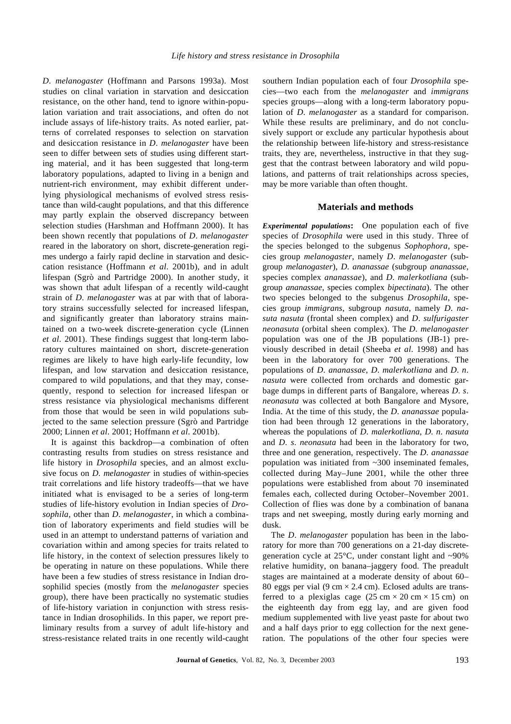*D*. *melanogaster* (Hoffmann and Parsons 1993a). Most studies on clinal variation in starvation and desiccation resistance, on the other hand, tend to ignore within-population variation and trait associations, and often do not include assays of life-history traits. As noted earlier, patterns of correlated responses to selection on starvation and desiccation resistance in *D*. *melanogaster* have been seen to differ between sets of studies using different starting material, and it has been suggested that long-term laboratory populations, adapted to living in a benign and nutrient-rich environment, may exhibit different underlying physiological mechanisms of evolved stress resistance than wild-caught populations, and that this difference may partly explain the observed discrepancy between selection studies (Harshman and Hoffmann 2000). It has been shown recently that populations of *D*. *melanogaster* reared in the laboratory on short, discrete-generation regimes undergo a fairly rapid decline in starvation and desiccation resistance (Hoffmann *et al*. 2001b), and in adult lifespan (Sgrò and Partridge 2000). In another study, it was shown that adult lifespan of a recently wild-caught strain of *D*. *melanogaster* was at par with that of laboratory strains successfully selected for increased lifespan, and significantly greater than laboratory strains maintained on a two-week discrete-generation cycle (Linnen *et al*. 2001). These findings suggest that long-term laboratory cultures maintained on short, discrete-generation regimes are likely to have high early-life fecundity, low lifespan, and low starvation and desiccation resistance, compared to wild populations, and that they may, consequently, respond to selection for increased lifespan or stress resistance via physiological mechanisms different from those that would be seen in wild populations subjected to the same selection pressure (Sgrò and Partridge 2000; Linnen *et al*. 2001; Hoffmann *et al*. 2001b).

It is against this backdrop—a combination of often contrasting results from studies on stress resistance and life history in *Drosophila* species, and an almost exclusive focus on *D*. *melanogaster* in studies of within-species trait correlations and life history tradeoffs—that we have initiated what is envisaged to be a series of long-term studies of life-history evolution in Indian species of *Drosophila*, other than *D*. *melanogaster*, in which a combination of laboratory experiments and field studies will be used in an attempt to understand patterns of variation and covariation within and among species for traits related to life history, in the context of selection pressures likely to be operating in nature on these populations. While there have been a few studies of stress resistance in Indian drosophilid species (mostly from the *melanogaster* species group), there have been practically no systematic studies of life-history variation in conjunction with stress resistance in Indian drosophilids. In this paper, we report preliminary results from a survey of adult life-history and stress-resistance related traits in one recently wild-caught southern Indian population each of four *Drosophila* species—two each from the *melanogaster* and *immigrans*  species groups—along with a long-term laboratory population of *D*. *melanogaster* as a standard for comparison. While these results are preliminary, and do not conclusively support or exclude any particular hypothesis about the relationship between life-history and stress-resistance traits, they are, nevertheless, instructive in that they suggest that the contrast between laboratory and wild populations, and patterns of trait relationships across species, may be more variable than often thought.

# **Materials and methods**

*Experimental populations***:** One population each of five species of *Drosophila* were used in this study. Three of the species belonged to the subgenus *Sophophora*, species group *melanogaster*, namely *D*. *melanogaster* (subgroup *melanogaster*), *D*. *ananassae* (subgroup *ananassae*, species complex *ananassae*), and *D*. *malerkotliana* (subgroup *ananassae*, species complex *bipectinata*). The other two species belonged to the subgenus *Drosophila*, species group *immigrans*, subgroup *nasuta*, namely *D*. *nasuta nasuta* (frontal sheen complex) and *D*. *sulfurigaster neonasuta* (orbital sheen complex). The *D*. *melanogaster* population was one of the JB populations (JB-1) previously described in detail (Sheeba *et al*. 1998) and has been in the laboratory for over 700 generations. The populations of *D*. *ananassae*, *D*. *malerkotliana* and *D*. *n*. *nasuta* were collected from orchards and domestic garbage dumps in different parts of Bangalore, whereas *D*. *s*. *neonasuta* was collected at both Bangalore and Mysore, India. At the time of this study, the *D*. *ananassae* population had been through 12 generations in the laboratory, whereas the populations of *D*. *malerkotliana*, *D*. *n*. *nasuta* and *D*. *s*. *neonasuta* had been in the laboratory for two, three and one generation, respectively. The *D*. *ananassae* population was initiated from ~300 inseminated females, collected during May–June 2001, while the other three populations were established from about 70 inseminated females each, collected during October–November 2001. Collection of flies was done by a combination of banana traps and net sweeping, mostly during early morning and dusk.

The *D*. *melanogaster* population has been in the laboratory for more than 700 generations on a 21-day discretegeneration cycle at 25°C, under constant light and ~90% relative humidity, on banana–jaggery food. The preadult stages are maintained at a moderate density of about 60– 80 eggs per vial  $(9 \text{ cm} \times 2.4 \text{ cm})$ . Eclosed adults are transferred to a plexiglas cage  $(25 \text{ cm} \times 20 \text{ cm} \times 15 \text{ cm})$  on the eighteenth day from egg lay, and are given food medium supplemented with live yeast paste for about two and a half days prior to egg collection for the next generation. The populations of the other four species were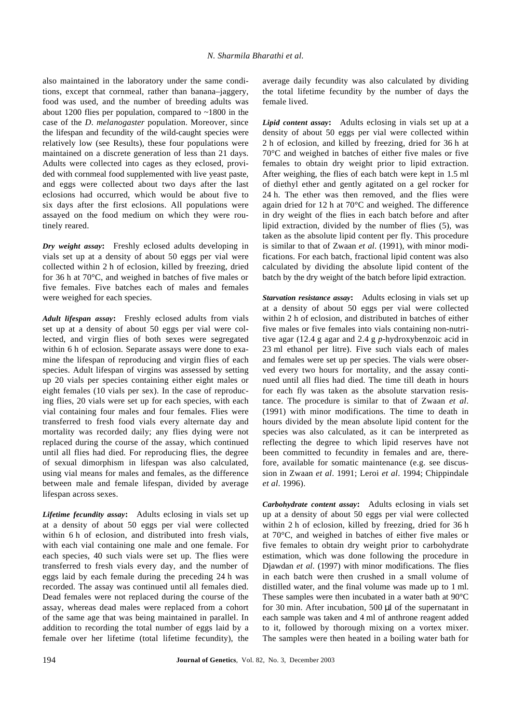also maintained in the laboratory under the same conditions, except that cornmeal, rather than banana–jaggery, food was used, and the number of breeding adults was about 1200 flies per population, compared to  $\sim$ 1800 in the case of the *D*. *melanogaster* population. Moreover, since the lifespan and fecundity of the wild-caught species were relatively low (see Results), these four populations were maintained on a discrete generation of less than 21 days. Adults were collected into cages as they eclosed, provided with cornmeal food supplemented with live yeast paste, and eggs were collected about two days after the last eclosions had occurred, which would be about five to six days after the first eclosions. All populations were assayed on the food medium on which they were routinely reared.

*Dry weight assay***:** Freshly eclosed adults developing in vials set up at a density of about 50 eggs per vial were collected within 2 h of eclosion, killed by freezing, dried for 36 h at 70°C, and weighed in batches of five males or five females. Five batches each of males and females were weighed for each species.

*Adult lifespan assay***:** Freshly eclosed adults from vials set up at a density of about 50 eggs per vial were collected, and virgin flies of both sexes were segregated within 6 h of eclosion. Separate assays were done to examine the lifespan of reproducing and virgin flies of each species. Adult lifespan of virgins was assessed by setting up 20 vials per species containing either eight males or eight females (10 vials per sex). In the case of reproducing flies, 20 vials were set up for each species, with each vial containing four males and four females. Flies were transferred to fresh food vials every alternate day and mortality was recorded daily; any flies dying were not replaced during the course of the assay, which continued until all flies had died. For reproducing flies, the degree of sexual dimorphism in lifespan was also calculated, using vial means for males and females, as the difference between male and female lifespan, divided by average lifespan across sexes.

*Lifetime fecundity assay***:** Adults eclosing in vials set up at a density of about 50 eggs per vial were collected within 6 h of eclosion, and distributed into fresh vials, with each vial containing one male and one female. For each species, 40 such vials were set up. The flies were transferred to fresh vials every day, and the number of eggs laid by each female during the preceding 24 h was recorded. The assay was continued until all females died. Dead females were not replaced during the course of the assay, whereas dead males were replaced from a cohort of the same age that was being maintained in parallel. In addition to recording the total number of eggs laid by a female over her lifetime (total lifetime fecundity), the

average daily fecundity was also calculated by dividing the total lifetime fecundity by the number of days the female lived.

*Lipid content assay***:** Adults eclosing in vials set up at a density of about 50 eggs per vial were collected within 2 h of eclosion, and killed by freezing, dried for 36 h at 70°C and weighed in batches of either five males or five females to obtain dry weight prior to lipid extraction. After weighing, the flies of each batch were kept in 1.5 ml of diethyl ether and gently agitated on a gel rocker for 24 h. The ether was then removed, and the flies were again dried for 12 h at 70°C and weighed. The difference in dry weight of the flies in each batch before and after lipid extraction, divided by the number of flies (5), was taken as the absolute lipid content per fly. This procedure is similar to that of Zwaan *et al*. (1991), with minor modifications. For each batch, fractional lipid content was also calculated by dividing the absolute lipid content of the batch by the dry weight of the batch before lipid extraction.

*Starvation resistance assay***:** Adults eclosing in vials set up at a density of about 50 eggs per vial were collected within 2 h of eclosion, and distributed in batches of either five males or five females into vials containing non-nutritive agar (12.4 g agar and 2.4 g *p*-hydroxybenzoic acid in 23 ml ethanol per litre). Five such vials each of males and females were set up per species. The vials were observed every two hours for mortality, and the assay continued until all flies had died. The time till death in hours for each fly was taken as the absolute starvation resistance. The procedure is similar to that of Zwaan *et al*. (1991) with minor modifications. The time to death in hours divided by the mean absolute lipid content for the species was also calculated, as it can be interpreted as reflecting the degree to which lipid reserves have not been committed to fecundity in females and are, therefore, available for somatic maintenance (e.g. see discussion in Zwaan *et al*. 1991; Leroi *et al*. 1994; Chippindale *et al*. 1996).

*Carbohydrate content assay***:** Adults eclosing in vials set up at a density of about 50 eggs per vial were collected within 2 h of eclosion, killed by freezing, dried for 36 h at 70°C, and weighed in batches of either five males or five females to obtain dry weight prior to carbohydrate estimation, which was done following the procedure in Djawdan *et al*. (1997) with minor modifications. The flies in each batch were then crushed in a small volume of distilled water, and the final volume was made up to 1 ml. These samples were then incubated in a water bath at 90°C for 30 min. After incubation, 500 μl of the supernatant in each sample was taken and 4 ml of anthrone reagent added to it, followed by thorough mixing on a vortex mixer. The samples were then heated in a boiling water bath for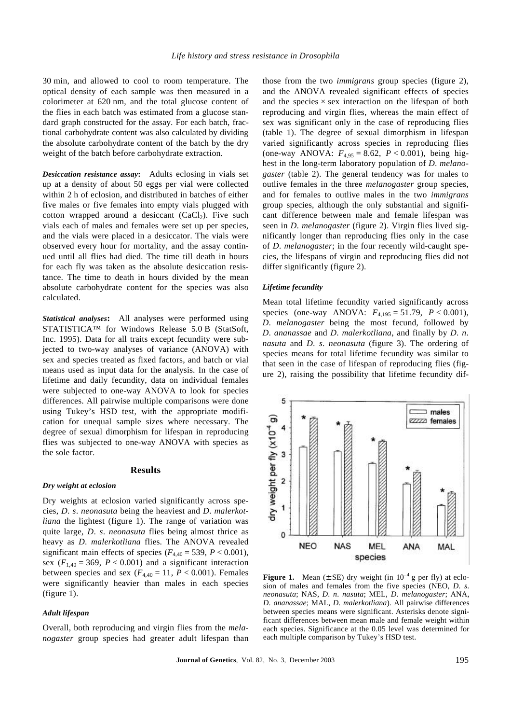30 min, and allowed to cool to room temperature. The optical density of each sample was then measured in a colorimeter at 620 nm, and the total glucose content of the flies in each batch was estimated from a glucose standard graph constructed for the assay. For each batch, fractional carbohydrate content was also calculated by dividing the absolute carbohydrate content of the batch by the dry weight of the batch before carbohydrate extraction.

*Desiccation resistance assay***:** Adults eclosing in vials set up at a density of about 50 eggs per vial were collected within 2 h of eclosion, and distributed in batches of either five males or five females into empty vials plugged with cotton wrapped around a desiccant  $(CaCl<sub>2</sub>)$ . Five such vials each of males and females were set up per species, and the vials were placed in a desiccator. The vials were observed every hour for mortality, and the assay continued until all flies had died. The time till death in hours for each fly was taken as the absolute desiccation resistance. The time to death in hours divided by the mean absolute carbohydrate content for the species was also calculated.

*Statistical analyses***:** All analyses were performed using STATISTICA™ for Windows Release 5.0 B (StatSoft, Inc. 1995). Data for all traits except fecundity were subjected to two-way analyses of variance (ANOVA) with sex and species treated as fixed factors, and batch or vial means used as input data for the analysis. In the case of lifetime and daily fecundity, data on individual females were subjected to one-way ANOVA to look for species differences. All pairwise multiple comparisons were done using Tukey's HSD test, with the appropriate modification for unequal sample sizes where necessary. The degree of sexual dimorphism for lifespan in reproducing flies was subjected to one-way ANOVA with species as the sole factor.

#### **Results**

# *Dry weight at eclosion*

Dry weights at eclosion varied significantly across species, *D*. *s*. *neonasuta* being the heaviest and *D*. *malerkotliana* the lightest (figure 1). The range of variation was quite large, *D*. *s*. *neonasuta* flies being almost thrice as heavy as *D*. *malerkotliana* flies. The ANOVA revealed significant main effects of species  $(F_{4,40} = 539, P < 0.001)$ , sex  $(F_{1,40} = 369, P < 0.001)$  and a significant interaction between species and sex  $(F_{4,40} = 11, P < 0.001)$ . Females were significantly heavier than males in each species (figure 1).

#### *Adult lifespan*

Overall, both reproducing and virgin flies from the *melanogaster* group species had greater adult lifespan than those from the two *immigrans* group species (figure 2), and the ANOVA revealed significant effects of species and the species  $\times$  sex interaction on the lifespan of both reproducing and virgin flies, whereas the main effect of sex was significant only in the case of reproducing flies (table 1). The degree of sexual dimorphism in lifespan varied significantly across species in reproducing flies (one-way ANOVA:  $F_{4.95} = 8.62$ ,  $P < 0.001$ ), being highest in the long-term laboratory population of *D*. *melanogaster* (table 2). The general tendency was for males to outlive females in the three *melanogaster* group species, and for females to outlive males in the two *immigrans*  group species, although the only substantial and significant difference between male and female lifespan was seen in *D*. *melanogaster* (figure 2). Virgin flies lived significantly longer than reproducing flies only in the case of *D*. *melanogaster*; in the four recently wild-caught species, the lifespans of virgin and reproducing flies did not differ significantly (figure 2).

# *Lifetime fecundity*

Mean total lifetime fecundity varied significantly across species (one-way ANOVA: *F*4,195 = 51.79, *P* < 0.001), *D*. *melanogaster* being the most fecund, followed by *D*. *ananassae* and *D*. *malerkotliana*, and finally by *D*. *n*. *nasuta* and *D*. *s*. *neonasuta* (figure 3). The ordering of species means for total lifetime fecundity was similar to that seen in the case of lifespan of reproducing flies (figure 2), raising the possibility that lifetime fecundity dif-



**Figure 1.** Mean  $(\pm SE)$  dry weight (in  $10^{-4}$  g per fly) at eclosion of males and females from the five species (NEO, *D*. *s*. *neonasuta*; NAS, *D*. *n*. *nasuta*; MEL, *D. melanogaster*; ANA, *D*. *ananassae*; MAL, *D*. *malerkotliana*). All pairwise differences between species means were significant. Asterisks denote significant differences between mean male and female weight within each species. Significance at the 0.05 level was determined for each multiple comparison by Tukey's HSD test.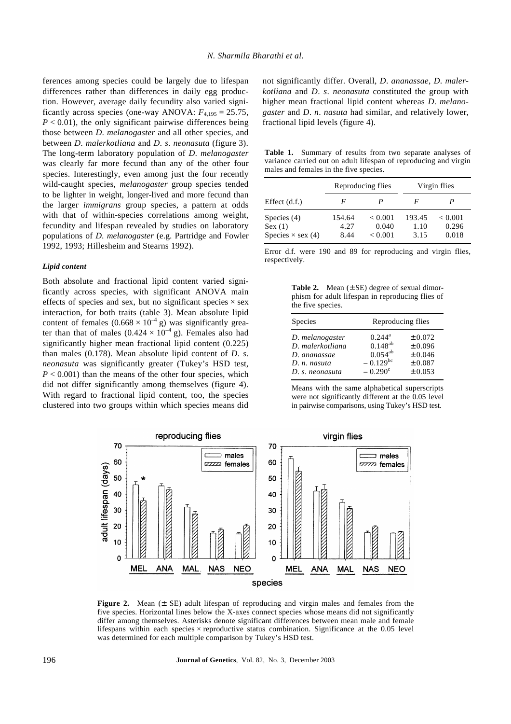ferences among species could be largely due to lifespan differences rather than differences in daily egg production. However, average daily fecundity also varied significantly across species (one-way ANOVA:  $F_{4,195} = 25.75$ ,  $P < 0.01$ ), the only significant pairwise differences being those between *D*. *melanogaster* and all other species, and between *D*. *malerkotliana* and *D*. *s*. *neonasuta* (figure 3). The long-term laboratory population of *D*. *melanogaster* was clearly far more fecund than any of the other four species. Interestingly, even among just the four recently wild-caught species, *melanogaster* group species tended to be lighter in weight, longer-lived and more fecund than the larger *immigrans* group species, a pattern at odds with that of within-species correlations among weight, fecundity and lifespan revealed by studies on laboratory populations of *D*. *melanogaster* (e.g. Partridge and Fowler 1992, 1993; Hillesheim and Stearns 1992).

#### *Lipid content*

Both absolute and fractional lipid content varied significantly across species, with significant ANOVA main effects of species and sex, but no significant species  $\times$  sex interaction, for both traits (table 3). Mean absolute lipid content of females  $(0.668 \times 10^{-4} \text{ g})$  was significantly greater than that of males  $(0.424 \times 10^{-4} \text{ g})$ . Females also had significantly higher mean fractional lipid content (0.225) than males (0.178). Mean absolute lipid content of *D*. *s*. *neonasuta* was significantly greater (Tukey's HSD test,  $P < 0.001$ ) than the means of the other four species, which did not differ significantly among themselves (figure 4). With regard to fractional lipid content, too, the species clustered into two groups within which species means did not significantly differ. Overall, *D*. *ananassae*, *D*. *malerkotliana* and *D*. *s*. *neonasuta* constituted the group with higher mean fractional lipid content whereas *D*. *melanogaster* and *D*. *n*. *nasuta* had similar, and relatively lower, fractional lipid levels (figure 4).

**Table 1.** Summary of results from two separate analyses of variance carried out on adult lifespan of reproducing and virgin males and females in the five species.

|                                                     |                        | Reproducing flies           | Virgin flies           |                                  |  |
|-----------------------------------------------------|------------------------|-----------------------------|------------------------|----------------------------------|--|
| Effect $(d.f.)$                                     | F                      | Р                           |                        | Р                                |  |
| Species $(4)$<br>Sex(1)<br>Species $\times$ sex (4) | 154.64<br>4.27<br>8.44 | < 0.001<br>0.040<br>< 0.001 | 193.45<br>1.10<br>3.15 | ${}_{< 0.001}$<br>0.296<br>0.018 |  |

Error d.f. were 190 and 89 for reproducing and virgin flies, respectively.

**Table 2.** Mean (± SE) degree of sexual dimorphism for adult lifespan in reproducing flies of the five species.

| <b>Species</b>   | Reproducing flies |         |  |  |  |
|------------------|-------------------|---------|--|--|--|
| D. melanogaster  | $0.244^{\rm a}$   | ± 0.072 |  |  |  |
| D. malerkotliana | $0.148^{ab}$      | ± 0.096 |  |  |  |
| D. ananassae     | $0.054^{ab}$      | ± 0.046 |  |  |  |
| $D. n.$ nasuta   | $-0.129^{bc}$     | ± 0.087 |  |  |  |
| D. s. neonasuta  | $-0.290^{\circ}$  | ± 0.053 |  |  |  |

Means with the same alphabetical superscripts were not significantly different at the 0.05 level in pairwise comparisons, using Tukey's HSD test.



**Figure 2.** Mean (± SE) adult lifespan of reproducing and virgin males and females from the five species. Horizontal lines below the X-axes connect species whose means did not significantly differ among themselves. Asterisks denote significant differences between mean male and female lifespans within each species  $\times$  reproductive status combination. Significance at the 0.05 level was determined for each multiple comparison by Tukey's HSD test.

196 **Journal of Genetics**, Vol. 82, No. 3, December 2003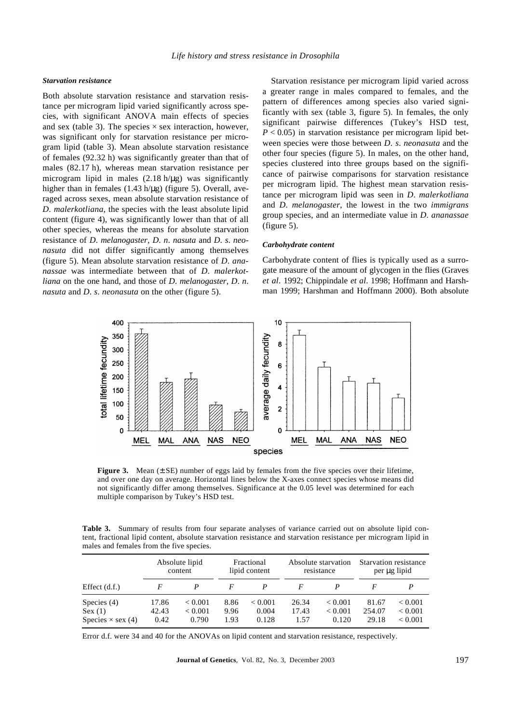### *Starvation resistance*

Both absolute starvation resistance and starvation resistance per microgram lipid varied significantly across species, with significant ANOVA main effects of species and sex (table 3). The species  $\times$  sex interaction, however, was significant only for starvation resistance per microgram lipid (table 3). Mean absolute starvation resistance of females (92.32 h) was significantly greater than that of males (82.17 h), whereas mean starvation resistance per microgram lipid in males  $(2.18 \text{ h}/\text{\mu g})$  was significantly higher than in females (1.43 h/μg) (figure 5). Overall, averaged across sexes, mean absolute starvation resistance of *D*. *malerkotliana*, the species with the least absolute lipid content (figure 4), was significantly lower than that of all other species, whereas the means for absolute starvation resistance of *D*. *melanogaster*, *D*. *n*. *nasuta* and *D*. *s*. *neonasuta* did not differ significantly among themselves (figure 5). Mean absolute starvation resistance of *D*. *ananassae* was intermediate between that of *D*. *malerkotliana* on the one hand, and those of *D*. *melanogaster*, *D*. *n*. *nasuta* and *D*. *s*. *neonasuta* on the other (figure 5).

Starvation resistance per microgram lipid varied across a greater range in males compared to females, and the pattern of differences among species also varied significantly with sex (table 3, figure 5). In females, the only significant pairwise differences (Tukey's HSD test,  $P < 0.05$ ) in starvation resistance per microgram lipid between species were those between *D*. *s*. *neonasuta* and the other four species (figure 5). In males, on the other hand, species clustered into three groups based on the significance of pairwise comparisons for starvation resistance per microgram lipid. The highest mean starvation resistance per microgram lipid was seen in *D*. *malerkotliana* and *D*. *melanogaster*, the lowest in the two *immigrans*  group species, and an intermediate value in *D*. *ananassae* (figure 5).

#### *Carbohydrate content*

Carbohydrate content of flies is typically used as a surrogate measure of the amount of glycogen in the flies (Graves *et al*. 1992; Chippindale *et al*. 1998; Hoffmann and Harshman 1999; Harshman and Hoffmann 2000). Both absolute



**Figure 3.** Mean ( $\pm$  SE) number of eggs laid by females from the five species over their lifetime, and over one day on average. Horizontal lines below the X-axes connect species whose means did not significantly differ among themselves. Significance at the 0.05 level was determined for each multiple comparison by Tukey's HSD test.

**Table 3.** Summary of results from four separate analyses of variance carried out on absolute lipid content, fractional lipid content, absolute starvation resistance and starvation resistance per microgram lipid in males and females from the five species.

|                                                     |                        | Absolute lipid<br>content          | Fractional<br>lipid content |                           | Absolute starvation<br>resistance |                                    | Starvation resistance<br>per µg lipid |                                             |
|-----------------------------------------------------|------------------------|------------------------------------|-----------------------------|---------------------------|-----------------------------------|------------------------------------|---------------------------------------|---------------------------------------------|
| Effect $(d.f.)$                                     |                        |                                    | F                           |                           | F                                 |                                    |                                       |                                             |
| Species $(4)$<br>Sex(1)<br>Species $\times$ sex (4) | 17.86<br>42.43<br>0.42 | < 0.001<br>${}_{< 0.001}$<br>0.790 | 8.86<br>9.96<br>1.93        | < 0.001<br>0.004<br>0.128 | 26.34<br>17.43<br>1.57            | < 0.001<br>${}_{< 0.001}$<br>0.120 | 81.67<br>254.07<br>29.18              | ${}_{< 0.001}$<br>${}_{< 0.001}$<br>< 0.001 |

Error d.f. were 34 and 40 for the ANOVAs on lipid content and starvation resistance, respectively.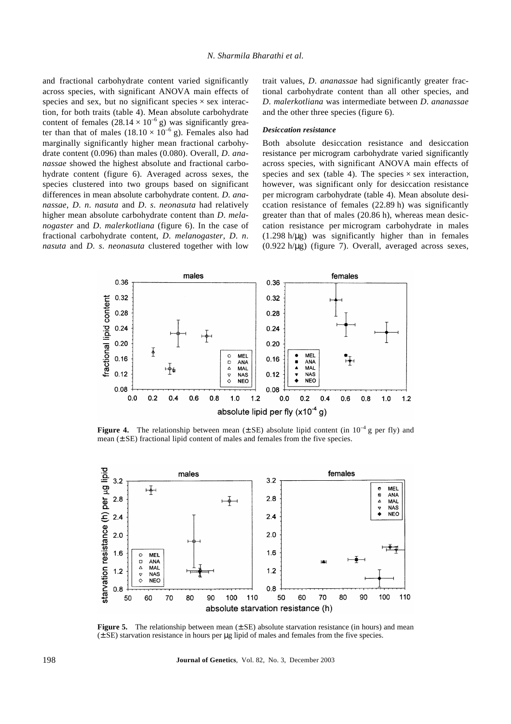and fractional carbohydrate content varied significantly across species, with significant ANOVA main effects of species and sex, but no significant species  $\times$  sex interaction, for both traits (table 4). Mean absolute carbohydrate content of females  $(28.14 \times 10^{-6} \text{ g})$  was significantly greater than that of males  $(18.10 \times 10^{-6} \text{ g})$ . Females also had marginally significantly higher mean fractional carbohydrate content (0.096) than males (0.080). Overall, *D*. *ananassae* showed the highest absolute and fractional carbohydrate content (figure 6). Averaged across sexes, the species clustered into two groups based on significant differences in mean absolute carbohydrate content. *D*. *ananassae*, *D*. *n*. *nasuta* and *D*. *s*. *neonasuta* had relatively higher mean absolute carbohydrate content than *D*. *melanogaster* and *D*. *malerkotliana* (figure 6). In the case of fractional carbohydrate content, *D*. *melanogaster*, *D*. *n*. *nasuta* and *D*. *s*. *neonasuta* clustered together with low trait values, *D*. *ananassae* had significantly greater fractional carbohydrate content than all other species, and *D*. *malerkotliana* was intermediate between *D*. *ananassae* and the other three species (figure 6).

#### *Desiccation resistance*

Both absolute desiccation resistance and desiccation resistance per microgram carbohydrate varied significantly across species, with significant ANOVA main effects of species and sex (table 4). The species  $\times$  sex interaction, however, was significant only for desiccation resistance per microgram carbohydrate (table 4). Mean absolute desiccation resistance of females (22.89 h) was significantly greater than that of males (20.86 h), whereas mean desiccation resistance per microgram carbohydrate in males  $(1.298 h/\mu$ g) was significantly higher than in females (0.922 h/μg) (figure 7). Overall, averaged across sexes,



**Figure 4.** The relationship between mean  $(\pm SE)$  absolute lipid content (in  $10^{-4}$  g per fly) and mean  $(\pm S$ E) fractional lipid content of males and females from the five species.



**Figure 5.** The relationship between mean ( $\pm$  SE) absolute starvation resistance (in hours) and mean (± SE) starvation resistance in hours per μg lipid of males and females from the five species.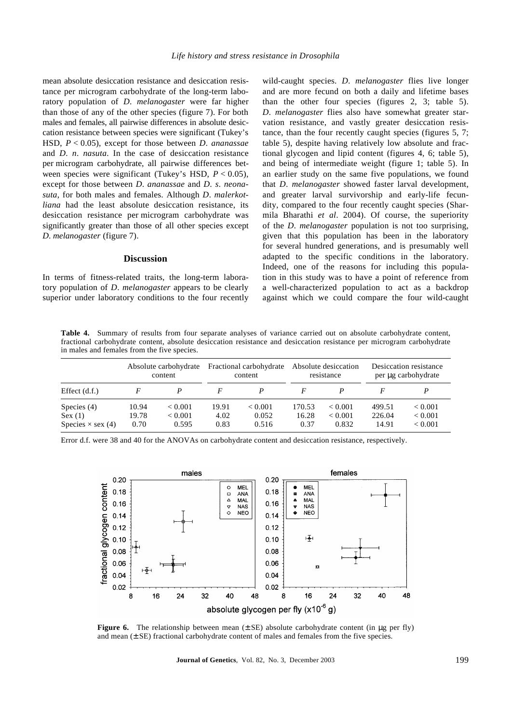mean absolute desiccation resistance and desiccation resistance per microgram carbohydrate of the long-term laboratory population of *D*. *melanogaster* were far higher than those of any of the other species (figure 7). For both males and females, all pairwise differences in absolute desiccation resistance between species were significant (Tukey's HSD, *P* < 0.05), except for those between *D*. *ananassae* and *D*. *n*. *nasuta*. In the case of desiccation resistance per microgram carbohydrate, all pairwise differences between species were significant (Tukey's HSD, *P* < 0.05), except for those between *D*. *ananassae* and *D*. *s*. *neonasuta*, for both males and females. Although *D*. *malerkotliana* had the least absolute desiccation resistance, its desiccation resistance per microgram carbohydrate was significantly greater than those of all other species except *D*. *melanogaster* (figure 7).

# **Discussion**

In terms of fitness-related traits, the long-term laboratory population of *D*. *melanogaster* appears to be clearly superior under laboratory conditions to the four recently wild-caught species. *D*. *melanogaster* flies live longer and are more fecund on both a daily and lifetime bases than the other four species (figures 2, 3; table 5). *D*. *melanogaster* flies also have somewhat greater starvation resistance, and vastly greater desiccation resistance, than the four recently caught species (figures 5, 7; table 5), despite having relatively low absolute and fractional glycogen and lipid content (figures 4, 6; table 5), and being of intermediate weight (figure 1; table 5). In an earlier study on the same five populations, we found that *D*. *melanogaster* showed faster larval development, and greater larval survivorship and early-life fecundity, compared to the four recently caught species (Sharmila Bharathi *et al*. 2004). Of course, the superiority of the *D*. *melanogaster* population is not too surprising, given that this population has been in the laboratory for several hundred generations, and is presumably well adapted to the specific conditions in the laboratory. Indeed, one of the reasons for including this population in this study was to have a point of reference from a well-characterized population to act as a backdrop against which we could compare the four wild-caught

**Table 4.** Summary of results from four separate analyses of variance carried out on absolute carbohydrate content, fractional carbohydrate content, absolute desiccation resistance and desiccation resistance per microgram carbohydrate in males and females from the five species.

|                          | Absolute carbohydrate |                | Fractional carbohydrate |                | Absolute desiccation |                | Desiccation resistance |                |
|--------------------------|-----------------------|----------------|-------------------------|----------------|----------------------|----------------|------------------------|----------------|
|                          | content               |                | content                 |                | resistance           |                | per µg carbohydrate    |                |
| Effect (d.f.)            |                       |                |                         |                |                      |                |                        |                |
| Species $(4)$            | 10.94                 | < 0.001        | 19.91                   | ${}_{< 0.001}$ | 170.53               | < 0.001        | 499.51                 | < 0.001        |
| Sex(1)                   | 19.78                 | ${}_{< 0.001}$ | 4.02                    | 0.052          | 16.28                | ${}_{< 0.001}$ | 226.04                 | ${}_{< 0.001}$ |
| Species $\times$ sex (4) | 0.70                  | 0.595          | 0.83                    | 0.516          | 0.37                 | 0.832          | 14.91                  | < 0.001        |

Error d.f. were 38 and 40 for the ANOVAs on carbohydrate content and desiccation resistance, respectively.



**Figure 6.** The relationship between mean  $(\pm SE)$  absolute carbohydrate content (in  $\mu$ g per fly) and mean (± SE) fractional carbohydrate content of males and females from the five species.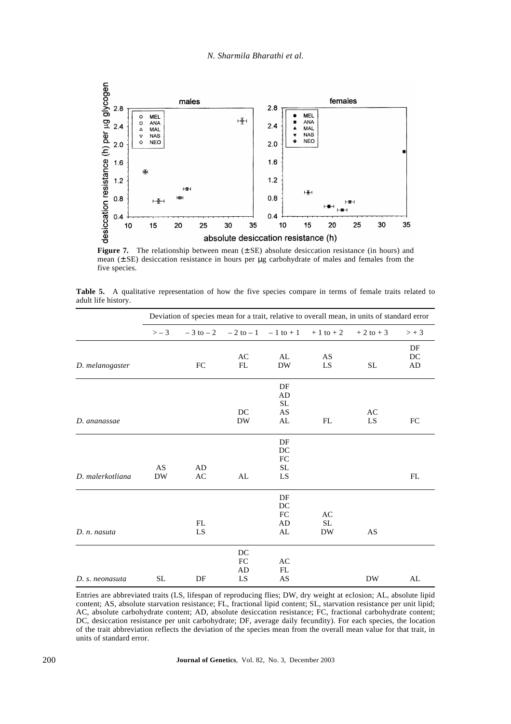

**Figure 7.** The relationship between mean  $(\pm SE)$  absolute desiccation resistance (in hours) and mean (± SE) desiccation resistance in hours per μg carbohydrate of males and females from the five species.

**Table 5.** A qualitative representation of how the five species compare in terms of female traits related to adult life history.

|                  | Deviation of species mean for a trait, relative to overall mean, in units of standard error |                                                           |                      |                                                       |                              |              |                |
|------------------|---------------------------------------------------------------------------------------------|-----------------------------------------------------------|----------------------|-------------------------------------------------------|------------------------------|--------------|----------------|
|                  |                                                                                             | $>-3$ $-3$ to $-2$ $-2$ to $-1$ $-1$ to $+1$ $+1$ to $+2$ |                      |                                                       |                              | $+2$ to $+3$ | $> +3$         |
| D. melanogaster  |                                                                                             | FC                                                        | AC<br>FL             | AL<br><b>DW</b>                                       | $\mathbf{A}\mathbf{S}$<br>LS | SL           | DF<br>DC<br>AD |
| D. ananassae     |                                                                                             |                                                           | DC<br><b>DW</b>      | DF<br>AD<br><b>SL</b><br>$\mathbf{A}\mathbf{S}$<br>AL | FL                           | AC<br>LS     | FC             |
| D. malerkotliana | AS<br><b>DW</b>                                                                             | AD<br>AC                                                  | AL                   | DF<br>DC<br>${\rm FC}$<br>$\rm SL$<br>LS              |                              |              | FL             |
| $D. n.$ nasuta   |                                                                                             | FL<br>LS                                                  |                      | DF<br>DC<br>FC<br>AD<br>AL                            | AC<br>SL<br>DW               | AS           |                |
| D. s. neonasuta  | SL                                                                                          | DF                                                        | DC<br>FC<br>AD<br>LS | $\rm AC$<br>FL<br>$\mathbf{A}\mathbf{S}$              |                              | <b>DW</b>    | AL             |

Entries are abbreviated traits (LS, lifespan of reproducing flies; DW, dry weight at eclosion; AL, absolute lipid content; AS, absolute starvation resistance; FL, fractional lipid content; SL, starvation resistance per unit lipid; AC, absolute carbohydrate content; AD, absolute desiccation resistance; FC, fractional carbohydrate content; DC, desiccation resistance per unit carbohydrate; DF, average daily fecundity). For each species, the location of the trait abbreviation reflects the deviation of the species mean from the overall mean value for that trait, in units of standard error.

200 **Journal of Genetics**, Vol. 82, No. 3, December 2003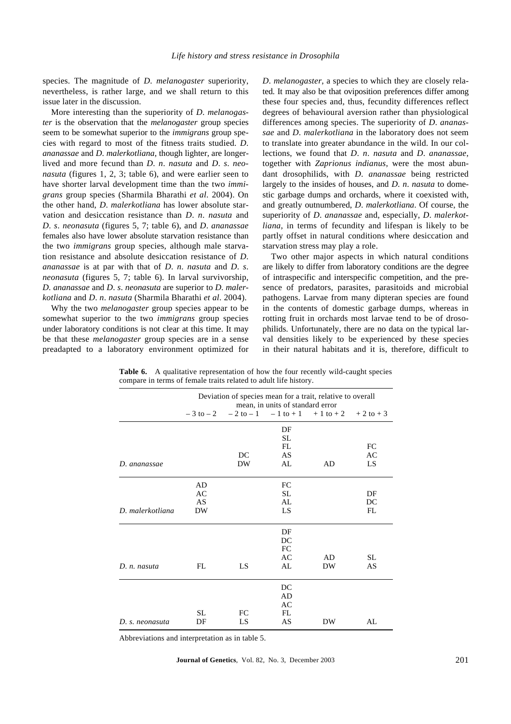species. The magnitude of *D*. *melanogaster* superiority, nevertheless, is rather large, and we shall return to this issue later in the discussion.

More interesting than the superiority of *D*. *melanogaster* is the observation that the *melanogaster* group species seem to be somewhat superior to the *immigrans* group species with regard to most of the fitness traits studied. *D*. *ananassae* and *D*. *malerkotliana*, though lighter, are longerlived and more fecund than *D*. *n*. *nasuta* and *D*. *s*. *neonasuta* (figures 1, 2, 3; table 6), and were earlier seen to have shorter larval development time than the two *immigrans* group species (Sharmila Bharathi *et al*. 2004). On the other hand, *D*. *malerkotliana* has lower absolute starvation and desiccation resistance than *D*. *n*. *nasuta* and *D*. *s*. *neonasuta* (figures 5, 7; table 6), and *D*. *ananassae* females also have lower absolute starvation resistance than the two *immigrans* group species, although male starvation resistance and absolute desiccation resistance of *D*. *ananassae* is at par with that of *D*. *n*. *nasuta* and *D*. *s*. *neonasuta* (figures 5, 7; table 6). In larval survivorship, *D*. *ananassae* and *D*. *s*. *neonasuta* are superior to *D*. *malerkotliana* and *D*. *n*. *nasuta* (Sharmila Bharathi *et al*. 2004).

Why the two *melanogaster* group species appear to be somewhat superior to the two *immigrans* group species under laboratory conditions is not clear at this time. It may be that these *melanogaster* group species are in a sense preadapted to a laboratory environment optimized for *D*. *melanogaster*, a species to which they are closely related. It may also be that oviposition preferences differ among these four species and, thus, fecundity differences reflect degrees of behavioural aversion rather than physiological differences among species. The superiority of *D*. *ananassae* and *D*. *malerkotliana* in the laboratory does not seem to translate into greater abundance in the wild. In our collections, we found that *D*. *n*. *nasuta* and *D*. *ananassae*, together with *Zaprionus indianus*, were the most abundant drosophilids, with *D*. *ananassae* being restricted largely to the insides of houses, and *D*. *n*. *nasuta* to domestic garbage dumps and orchards, where it coexisted with, and greatly outnumbered, *D*. *malerkotliana*. Of course, the superiority of *D*. *ananassae* and, especially, *D*. *malerkotliana*, in terms of fecundity and lifespan is likely to be partly offset in natural conditions where desiccation and starvation stress may play a role.

Two other major aspects in which natural conditions are likely to differ from laboratory conditions are the degree of intraspecific and interspecific competition, and the presence of predators, parasites, parasitoids and microbial pathogens. Larvae from many dipteran species are found in the contents of domestic garbage dumps, whereas in rotting fruit in orchards most larvae tend to be of drosophilids. Unfortunately, there are no data on the typical larval densities likely to be experienced by these species in their natural habitats and it is, therefore, difficult to

|                  | Deviation of species mean for a trait, relative to overall<br>mean, in units of standard error |           |                                   |          |                |  |  |
|------------------|------------------------------------------------------------------------------------------------|-----------|-----------------------------------|----------|----------------|--|--|
|                  | $-2$ to $-1$ $-1$ to $+1$ $+1$ to $+2$ $+2$ to $+3$<br>$-3$ to $-2$                            |           |                                   |          |                |  |  |
|                  |                                                                                                | DC        | DF<br><b>SL</b><br>FL<br>AS       |          | FC<br>AC       |  |  |
| D. ananassae     |                                                                                                | <b>DW</b> | AL                                | AD       | LS             |  |  |
| D. malerkotliana | AD<br>AC<br>AS<br>DW                                                                           |           | FC<br><b>SL</b><br>AL<br>LS       |          | DF<br>DC<br>FL |  |  |
| D. n. nasuta     | FL                                                                                             | LS        | DF<br>DC<br><b>FC</b><br>AC<br>AL | AD<br>DW | SL<br>AS       |  |  |
| D. s. neonasuta  | SL<br>DF                                                                                       | FC<br>LS  | DC<br>AD<br>AC<br>FL<br>AS        | DW       | AL             |  |  |

Table 6. A qualitative representation of how the four recently wild-caught species compare in terms of female traits related to adult life history.

Abbreviations and interpretation as in table 5.

**Journal of Genetics**, Vol. 82, No. 3, December 2003 201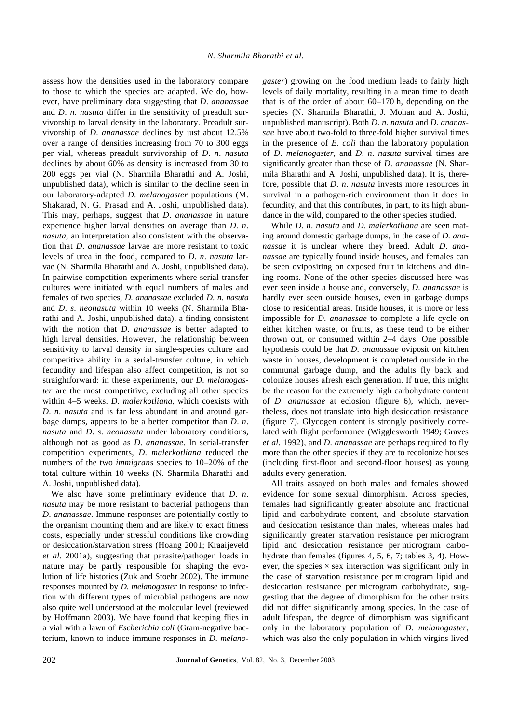assess how the densities used in the laboratory compare to those to which the species are adapted. We do, however, have preliminary data suggesting that *D*. *ananassae* and *D*. *n*. *nasuta* differ in the sensitivity of preadult survivorship to larval density in the laboratory. Preadult survivorship of *D*. *ananassae* declines by just about 12.5% over a range of densities increasing from 70 to 300 eggs per vial, whereas preadult survivorship of *D*. *n*. *nasuta* declines by about 60% as density is increased from 30 to 200 eggs per vial (N. Sharmila Bharathi and A. Joshi, unpublished data), which is similar to the decline seen in our laboratory-adapted *D*. *melanogaster* populations (M. Shakarad, N. G. Prasad and A. Joshi, unpublished data). This may, perhaps, suggest that *D*. *ananassae* in nature experience higher larval densities on average than *D*. *n*. *nasuta*, an interpretation also consistent with the observation that *D*. *ananassae* larvae are more resistant to toxic levels of urea in the food, compared to *D*. *n*. *nasuta* larvae (N. Sharmila Bharathi and A. Joshi, unpublished data). In pairwise competition experiments where serial-transfer cultures were initiated with equal numbers of males and females of two species, *D*. *ananassae* excluded *D*. *n*. *nasuta* and *D*. *s*. *neonasuta* within 10 weeks (N. Sharmila Bharathi and A. Joshi, unpublished data), a finding consistent with the notion that *D*. *ananassae* is better adapted to high larval densities. However, the relationship between sensitivity to larval density in single-species culture and competitive ability in a serial-transfer culture, in which fecundity and lifespan also affect competition, is not so straightforward: in these experiments, our *D*. *melanogaster* are the most competitive, excluding all other species within 4–5 weeks. *D*. *malerkotliana*, which coexists with *D*. *n*. *nasuta* and is far less abundant in and around garbage dumps, appears to be a better competitor than *D*. *n*. *nasuta* and *D*. *s*. *neonasuta* under laboratory conditions, although not as good as *D*. *ananassae*. In serial-transfer competition experiments, *D*. *malerkotliana* reduced the numbers of the two *immigrans* species to 10–20% of the total culture within 10 weeks (N. Sharmila Bharathi and A. Joshi, unpublished data).

We also have some preliminary evidence that *D*. *n*. *nasuta* may be more resistant to bacterial pathogens than *D*. *ananassae*. Immune responses are potentially costly to the organism mounting them and are likely to exact fitness costs, especially under stressful conditions like crowding or desiccation/starvation stress (Hoang 2001; Kraaijeveld *et al*. 2001a), suggesting that parasite/pathogen loads in nature may be partly responsible for shaping the evolution of life histories (Zuk and Stoehr 2002). The immune responses mounted by *D*. *melanogaster* in response to infection with different types of microbial pathogens are now also quite well understood at the molecular level (reviewed by Hoffmann 2003). We have found that keeping flies in a vial with a lawn of *Escherichia coli* (Gram-negative bacterium, known to induce immune responses in *D*. *melano-* *gaster*) growing on the food medium leads to fairly high levels of daily mortality, resulting in a mean time to death that is of the order of about 60–170 h, depending on the species (N. Sharmila Bharathi, J. Mohan and A. Joshi, unpublished manuscript). Both *D*. *n*. *nasuta* and *D*. *ananassae* have about two-fold to three-fold higher survival times in the presence of *E*. *coli* than the laboratory population of *D*. *melanogaster*, and *D*. *n*. *nasuta* survival times are significantly greater than those of *D*. *ananassae* (N. Sharmila Bharathi and A. Joshi, unpublished data). It is, therefore, possible that *D*. *n*. *nasuta* invests more resources in survival in a pathogen-rich environment than it does in fecundity, and that this contributes, in part, to its high abundance in the wild, compared to the other species studied.

While *D*. *n*. *nasuta* and *D*. *malerkotliana* are seen mating around domestic garbage dumps, in the case of *D*. *ananassae* it is unclear where they breed. Adult *D*. *ananassae* are typically found inside houses, and females can be seen ovipositing on exposed fruit in kitchens and dining rooms. None of the other species discussed here was ever seen inside a house and, conversely, *D*. *ananassae* is hardly ever seen outside houses, even in garbage dumps close to residential areas. Inside houses, it is more or less impossible for *D*. *ananassae* to complete a life cycle on either kitchen waste, or fruits, as these tend to be either thrown out, or consumed within 2–4 days. One possible hypothesis could be that *D*. *ananassae* oviposit on kitchen waste in houses, development is completed outside in the communal garbage dump, and the adults fly back and colonize houses afresh each generation. If true, this might be the reason for the extremely high carbohydrate content of *D*. *ananassae* at eclosion (figure 6), which, nevertheless, does not translate into high desiccation resistance (figure 7). Glycogen content is strongly positively correlated with flight performance (Wigglesworth 1949; Graves *et al*. 1992), and *D*. *ananassae* are perhaps required to fly more than the other species if they are to recolonize houses (including first-floor and second-floor houses) as young adults every generation.

All traits assayed on both males and females showed evidence for some sexual dimorphism. Across species, females had significantly greater absolute and fractional lipid and carbohydrate content, and absolute starvation and desiccation resistance than males, whereas males had significantly greater starvation resistance per microgram lipid and desiccation resistance per microgram carbohydrate than females (figures 4, 5, 6, 7; tables 3, 4). However, the species  $\times$  sex interaction was significant only in the case of starvation resistance per microgram lipid and desiccation resistance per microgram carbohydrate, suggesting that the degree of dimorphism for the other traits did not differ significantly among species. In the case of adult lifespan, the degree of dimorphism was significant only in the laboratory population of *D*. *melanogaster*, which was also the only population in which virgins lived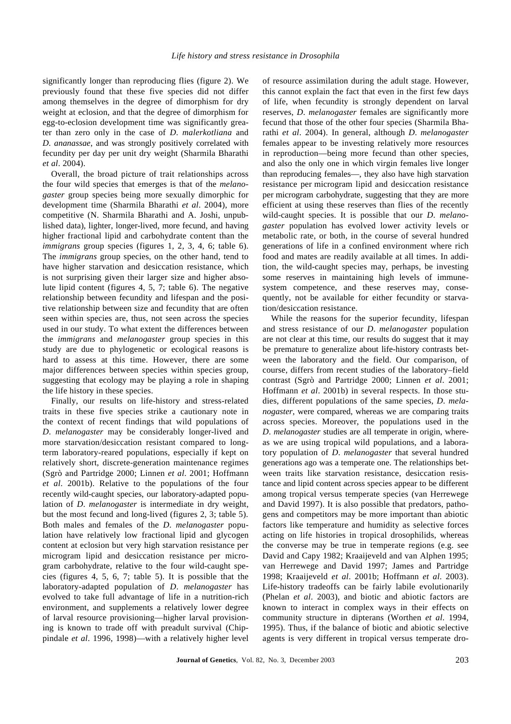significantly longer than reproducing flies (figure 2). We previously found that these five species did not differ among themselves in the degree of dimorphism for dry weight at eclosion, and that the degree of dimorphism for egg-to-eclosion development time was significantly greater than zero only in the case of *D*. *malerkotliana* and *D*. *ananassae*, and was strongly positively correlated with fecundity per day per unit dry weight (Sharmila Bharathi *et al*. 2004).

Overall, the broad picture of trait relationships across the four wild species that emerges is that of the *melanogaster* group species being more sexually dimorphic for development time (Sharmila Bharathi *et al*. 2004), more competitive (N. Sharmila Bharathi and A. Joshi, unpublished data), lighter, longer-lived, more fecund, and having higher fractional lipid and carbohydrate content than the *immigrans* group species (figures 1, 2, 3, 4, 6; table 6). The *immigrans* group species, on the other hand, tend to have higher starvation and desiccation resistance, which is not surprising given their larger size and higher absolute lipid content (figures 4, 5, 7; table 6). The negative relationship between fecundity and lifespan and the positive relationship between size and fecundity that are often seen within species are, thus, not seen across the species used in our study. To what extent the differences between the *immigrans* and *melanogaster* group species in this study are due to phylogenetic or ecological reasons is hard to assess at this time. However, there are some major differences between species within species group, suggesting that ecology may be playing a role in shaping the life history in these species.

Finally, our results on life-history and stress-related traits in these five species strike a cautionary note in the context of recent findings that wild populations of *D*. *melanogaster* may be considerably longer-lived and more starvation/desiccation resistant compared to longterm laboratory-reared populations, especially if kept on relatively short, discrete-generation maintenance regimes (Sgrò and Partridge 2000; Linnen *et al*. 2001; Hoffmann *et al*. 2001b). Relative to the populations of the four recently wild-caught species, our laboratory-adapted population of *D*. *melanogaster* is intermediate in dry weight, but the most fecund and long-lived (figures 2, 3; table 5). Both males and females of the *D*. *melanogaster* population have relatively low fractional lipid and glycogen content at eclosion but very high starvation resistance per microgram lipid and desiccation resistance per microgram carbohydrate, relative to the four wild-caught species (figures 4, 5, 6, 7; table 5). It is possible that the laboratory-adapted population of *D*. *melanogaster* has evolved to take full advantage of life in a nutrition-rich environment, and supplements a relatively lower degree of larval resource provisioning—higher larval provisioning is known to trade off with preadult survival (Chippindale *et al*. 1996, 1998)—with a relatively higher level

of resource assimilation during the adult stage. However, this cannot explain the fact that even in the first few days of life, when fecundity is strongly dependent on larval reserves, *D*. *melanogaster* females are significantly more fecund that those of the other four species (Sharmila Bharathi *et al*. 2004). In general, although *D*. *melanogaster* females appear to be investing relatively more resources in reproduction—being more fecund than other species, and also the only one in which virgin females live longer than reproducing females—, they also have high starvation resistance per microgram lipid and desiccation resistance per microgram carbohydrate, suggesting that they are more efficient at using these reserves than flies of the recently wild-caught species. It is possible that our *D*. *melanogaster* population has evolved lower activity levels or metabolic rate, or both, in the course of several hundred generations of life in a confined environment where rich food and mates are readily available at all times. In addition, the wild-caught species may, perhaps, be investing some reserves in maintaining high levels of immunesystem competence, and these reserves may, consequently, not be available for either fecundity or starvation/desiccation resistance.

While the reasons for the superior fecundity, lifespan and stress resistance of our *D*. *melanogaster* population are not clear at this time, our results do suggest that it may be premature to generalize about life-history contrasts between the laboratory and the field. Our comparison, of course, differs from recent studies of the laboratory–field contrast (Sgrò and Partridge 2000; Linnen *et al*. 2001; Hoffmann *et al*. 2001b) in several respects. In those studies, different populations of the same species, *D*. *melanogaster*, were compared, whereas we are comparing traits across species. Moreover, the populations used in the *D*. *melanogaster* studies are all temperate in origin, whereas we are using tropical wild populations, and a laboratory population of *D*. *melanogaster* that several hundred generations ago was a temperate one. The relationships between traits like starvation resistance, desiccation resistance and lipid content across species appear to be different among tropical versus temperate species (van Herrewege and David 1997). It is also possible that predators, pathogens and competitors may be more important than abiotic factors like temperature and humidity as selective forces acting on life histories in tropical drosophilids, whereas the converse may be true in temperate regions (e.g. see David and Capy 1982; Kraaijeveld and van Alphen 1995; van Herrewege and David 1997; James and Partridge 1998; Kraaijeveld *et al*. 2001b; Hoffmann *et al*. 2003). Life-history tradeoffs can be fairly labile evolutionarily (Phelan *et al*. 2003), and biotic and abiotic factors are known to interact in complex ways in their effects on community structure in dipterans (Worthen *et al*. 1994, 1995). Thus, if the balance of biotic and abiotic selective agents is very different in tropical versus temperate dro-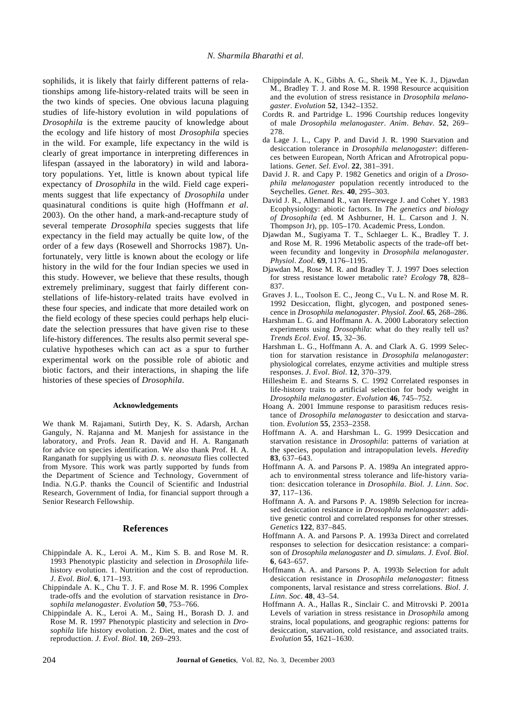sophilids, it is likely that fairly different patterns of relationships among life-history-related traits will be seen in the two kinds of species. One obvious lacuna plaguing studies of life-history evolution in wild populations of *Drosophila* is the extreme paucity of knowledge about the ecology and life history of most *Drosophila* species in the wild. For example, life expectancy in the wild is clearly of great importance in interpreting differences in lifespan (assayed in the laboratory) in wild and laboratory populations. Yet, little is known about typical life expectancy of *Drosophila* in the wild. Field cage experiments suggest that life expectancy of *Drosophila* under quasinatural conditions is quite high (Hoffmann *et al*. 2003). On the other hand, a mark-and-recapture study of several temperate *Drosophila* species suggests that life expectancy in the field may actually be quite low, of the order of a few days (Rosewell and Shorrocks 1987). Unfortunately, very little is known about the ecology or life history in the wild for the four Indian species we used in this study. However, we believe that these results, though extremely preliminary, suggest that fairly different constellations of life-history-related traits have evolved in these four species, and indicate that more detailed work on the field ecology of these species could perhaps help elucidate the selection pressures that have given rise to these life-history differences. The results also permit several speculative hypotheses which can act as a spur to further experimental work on the possible role of abiotic and biotic factors, and their interactions, in shaping the life histories of these species of *Drosophila*.

#### **Acknowledgements**

We thank M. Rajamani, Sutirth Dey, K. S. Adarsh, Archan Ganguly, N. Rajanna and M. Manjesh for assistance in the laboratory, and Profs. Jean R. David and H. A. Ranganath for advice on species identification. We also thank Prof. H. A. Ranganath for supplying us with *D*. *s*. *neonasuta* flies collected from Mysore. This work was partly supported by funds from the Department of Science and Technology, Government of India. N.G.P. thanks the Council of Scientific and Industrial Research, Government of India, for financial support through a Senior Research Fellowship.

# **References**

- Chippindale A. K., Leroi A. M., Kim S. B. and Rose M. R. 1993 Phenotypic plasticity and selection in *Drosophila* lifehistory evolution. 1. Nutrition and the cost of reproduction. *J*. *Evol*. *Biol*. **6**, 171–193.
- Chippindale A. K., Chu T. J. F. and Rose M. R. 1996 Complex trade-offs and the evolution of starvation resistance in *Drosophila melanogaster*. *Evolution* **50**, 753–766.
- Chippindale A. K., Leroi A. M., Saing H., Borash D. J. and Rose M. R. 1997 Phenotypic plasticity and selection in *Drosophila* life history evolution. 2. Diet, mates and the cost of reproduction. *J*. *Evol*. *Biol*. **10**, 269–293.
- Chippindale A. K., Gibbs A. G., Sheik M., Yee K. J., Djawdan M., Bradley T. J. and Rose M. R. 1998 Resource acquisition and the evolution of stress resistance in *Drosophila melanogaster*. *Evolution* **52**, 1342–1352.
- Cordts R. and Partridge L. 1996 Courtship reduces longevity of male *Drosophila melanogaster*. *Anim*. *Behav*. **52**, 269– 278.
- da Lage J. L., Capy P. and David J. R. 1990 Starvation and desiccation tolerance in *Drosophila melanogaster*: differences between European, North African and Afrotropical populations. *Genet*. *Sel*. *Evol*. **22**, 381–391.
- David J. R. and Capy P. 1982 Genetics and origin of a *Drosophila melanogaster* population recently introduced to the Seychelles. *Genet*. *Res*. **40**, 295–303.
- David J. R., Allemand R., van Herrewege J. and Cohet Y. 1983 Ecophysiology: abiotic factors. In *The genetics and biology of Drosophila* (ed. M Ashburner, H. L. Carson and J. N. Thompson Jr), pp. 105–170. Academic Press, London.
- Djawdan M., Sugiyama T. T., Schlaeger L. K., Bradley T. J. and Rose M. R. 1996 Metabolic aspects of the trade-off between fecundity and longevity in *Drosophila melanogaster*. *Physiol*. *Zool*. **69**, 1176–1195.
- Djawdan M., Rose M. R. and Bradley T. J. 1997 Does selection for stress resistance lower metabolic rate? *Ecology* **78**, 828– 837.
- Graves J. L., Toolson E. C., Jeong C., Vu L. N. and Rose M. R. 1992 Desiccation, flight, glycogen, and postponed senescence in *Drosophila melanogaster*. *Physiol*. *Zool*. **65**, 268–286.
- Harshman L. G. and Hoffmann A. A. 2000 Laboratory selection experiments using *Drosophila*: what do they really tell us? *Trends Ecol*. *Evol*. **15**, 32–36.
- Harshman L. G., Hoffmann A. A. and Clark A. G. 1999 Selection for starvation resistance in *Drosophila melanogaster*: physiological correlates, enzyme activities and multiple stress responses. *J*. *Evol*. *Biol*. **12**, 370–379.
- Hillesheim E. and Stearns S. C. 1992 Correlated responses in life-history traits to artificial selection for body weight in *Drosophila melanogaster*. *Evolution* **46**, 745–752.
- Hoang A. 2001 Immune response to parasitism reduces resistance of *Drosophila melanogaster* to desiccation and starvation. *Evolution* **55**, 2353–2358.
- Hoffmann A. A. and Harshman L. G. 1999 Desiccation and starvation resistance in *Drosophila*: patterns of variation at the species, population and intrapopulation levels. *Heredity* **83**, 637–643.
- Hoffmann A. A. and Parsons P. A. 1989a An integrated approach to environmental stress tolerance and life-history variation: desiccation tolerance in *Drosophila*. *Biol*. *J*. *Linn*. *Soc*. **37**, 117–136.
- Hoffmann A. A. and Parsons P. A. 1989b Selection for increased desiccation resistance in *Drosophila melanogaster*: additive genetic control and correlated responses for other stresses. *Genetics* **122**, 837–845.
- Hoffmann A. A. and Parsons P. A. 1993a Direct and correlated responses to selection for desiccation resistance: a comparison of *Drosophila melanogaster* and *D*. *simulans*. *J*. *Evol*. *Biol*. **6**, 643–657.
- Hoffmann A. A. and Parsons P. A. 1993b Selection for adult desiccation resistance in *Drosophila melanogaster*: fitness components, larval resistance and stress correlations. *Biol*. *J*. *Linn*. *Soc*. **48**, 43–54.
- Hoffmann A. A., Hallas R., Sinclair C. and Mitrovski P. 2001a Levels of variation in stress resistance in *Drosophila* among strains, local populations, and geographic regions: patterns for desiccation, starvation, cold resistance, and associated traits. *Evolution* **55**, 1621–1630.